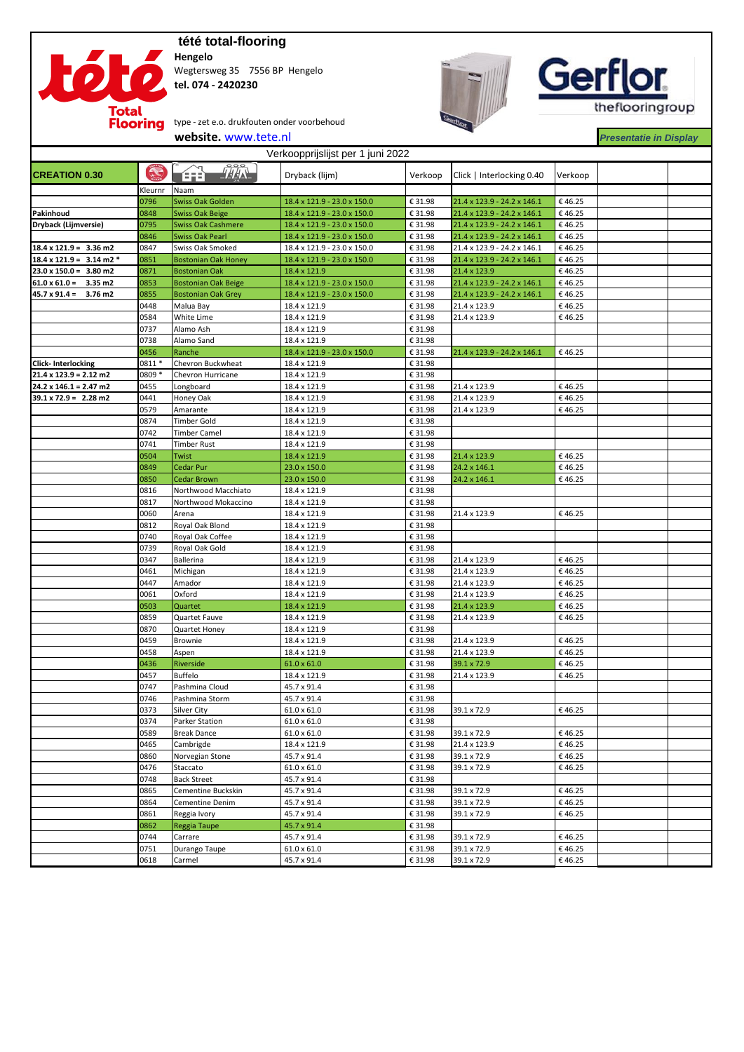## **tété total-flooring**

**kó** 

**Hengelo** Wegtersweg 35 7556 BP Hengelo **tel. 074 - 2420230** 



Gerflor theflooringroup

*Presentatie in Display*

Total<br>Flooring type - zet e.o. drukfouten onder voorbehoud **website.** www.tete.nl

| Verkoopprijslijst per 1 juni 2022     |                   |                            |                              |                        |                              |                  |  |  |  |  |  |
|---------------------------------------|-------------------|----------------------------|------------------------------|------------------------|------------------------------|------------------|--|--|--|--|--|
| <b>CREATION 0.30</b>                  | $\mathbf{\Omega}$ | $\frac{1}{4}$<br>Œ         | Dryback (lijm)               | Verkoop                | Click   Interlocking 0.40    | Verkoop          |  |  |  |  |  |
|                                       | Kleurnr           | Naam                       |                              |                        |                              |                  |  |  |  |  |  |
|                                       | 0796              | <b>Swiss Oak Golden</b>    | 18.4 x 121.9 - 23.0 x 150.0  | € 31.98                | 21.4 x 123.9 - 24.2 x 146.1  | €46.25           |  |  |  |  |  |
| Pakinhoud                             | 0848              | <b>Swiss Oak Beige</b>     | 18.4 x 121.9 - 23.0 x 150.0  | € 31.98                | 21.4 x 123.9 - 24.2 x 146.1  | €46.25           |  |  |  |  |  |
| Dryback (Lijmversie)                  | 0795              | <b>Swiss Oak Cashmere</b>  | 18.4 x 121.9 - 23.0 x 150.0  | € 31.98                | 21.4 x 123.9 - 24.2 x 146.1  | €46.25           |  |  |  |  |  |
|                                       | 0846              | <b>Swiss Oak Pearl</b>     | 18.4 x 121.9 - 23.0 x 150.0  | € 31.98                | 21.4 x 123.9 - 24.2 x 146.1  | €46.25           |  |  |  |  |  |
| $18.4 \times 121.9 = 3.36 \text{ m2}$ | 0847              | Swiss Oak Smoked           | 18.4 x 121.9 - 23.0 x 150.0  | € 31.98                | 21.4 x 123.9 - 24.2 x 146.1  | €46.25           |  |  |  |  |  |
| $18.4 \times 121.9 = 3.14 \text{ m2}$ | 0851              | <b>Bostonian Oak Honey</b> | 18.4 x 121.9 - 23.0 x 150.0  | € 31.98                | 21.4 x 123.9 - 24.2 x 146.1  | €46.25           |  |  |  |  |  |
| $23.0 \times 150.0 = 3.80$ m2         | 0871              | <b>Bostonian Oak</b>       | 18.4 x 121.9                 | € 31.98                | 21.4 x 123.9                 | €46.25           |  |  |  |  |  |
| $61.0 \times 61.0 = 3.35 \text{ m2}$  | 0853              | <b>Bostonian Oak Beige</b> | 18.4 x 121.9 - 23.0 x 150.0  | € 31.98                | 21.4 x 123.9 - 24.2 x 146.1  | €46.25           |  |  |  |  |  |
| $45.7 \times 91.4 =$<br>3.76 m2       | 0855              | <b>Bostonian Oak Grey</b>  | 18.4 x 121.9 - 23.0 x 150.0  | € 31.98                | 21.4 x 123.9 - 24.2 x 146.1  | €46.25           |  |  |  |  |  |
|                                       | 0448              | Malua Bay                  | 18.4 x 121.9                 | € 31.98                | 21.4 x 123.9                 | €46.25           |  |  |  |  |  |
|                                       | 0584              | White Lime                 | 18.4 x 121.9                 | € 31.98                | 21.4 x 123.9                 | €46.25           |  |  |  |  |  |
|                                       | 0737              | Alamo Ash                  | 18.4 x 121.9                 | € 31.98                |                              |                  |  |  |  |  |  |
|                                       | 0738              | Alamo Sand                 | 18.4 x 121.9                 | € 31.98                |                              |                  |  |  |  |  |  |
|                                       | 0456              | Ranche                     | 18.4 x 121.9 - 23.0 x 150.0  | € 31.98                | 21.4 x 123.9 - 24.2 x 146.1  | €46.25           |  |  |  |  |  |
| <b>Click-Interlocking</b>             | 0811 *            | Chevron Buckwheat          | 18.4 x 121.9                 | € 31.98                |                              |                  |  |  |  |  |  |
| $21.4 \times 123.9 = 2.12 \text{ m2}$ | 0809 *            | Chevron Hurricane          | 18.4 x 121.9                 | € 31.98                |                              |                  |  |  |  |  |  |
| $24.2 \times 146.1 = 2.47$ m2         | 0455              | Longboard                  | 18.4 x 121.9                 | € 31.98                | 21.4 x 123.9                 | €46.25           |  |  |  |  |  |
| $39.1 \times 72.9 = 2.28 \text{ m2}$  | 0441              | Honey Oak                  | 18.4 x 121.9                 | € 31.98                | 21.4 x 123.9                 | €46.25           |  |  |  |  |  |
|                                       | 0579              | Amarante                   | 18.4 x 121.9                 | € 31.98                | 21.4 x 123.9                 | €46.25           |  |  |  |  |  |
|                                       | 0874              | <b>Timber Gold</b>         | 18.4 x 121.9                 | € 31.98                |                              |                  |  |  |  |  |  |
|                                       | 0742              | Timber Camel               | 18.4 x 121.9                 | € 31.98                |                              |                  |  |  |  |  |  |
|                                       | 0741              | <b>Timber Rust</b>         | 18.4 x 121.9                 | € 31.98                |                              |                  |  |  |  |  |  |
|                                       | 0504              | Twist                      | 18.4 x 121.9                 | € 31.98                | 21.4 x 123.9                 | €46.25           |  |  |  |  |  |
|                                       | 0849              | Cedar Pur                  | 23.0 x 150.0                 | € 31.98                | 24.2 x 146.1                 | €46.25           |  |  |  |  |  |
|                                       | 0850              | Cedar Brown                | 23.0 x 150.0                 | € 31.98                | 24.2 x 146.1                 | €46.25           |  |  |  |  |  |
|                                       | 0816              | Northwood Macchiato        | 18.4 x 121.9                 | € 31.98                |                              |                  |  |  |  |  |  |
|                                       | 0817              | Northwood Mokaccino        | 18.4 x 121.9                 | € 31.98                |                              |                  |  |  |  |  |  |
|                                       | 0060              | Arena                      | 18.4 x 121.9                 | € 31.98                | 21.4 x 123.9                 | €46.25           |  |  |  |  |  |
|                                       | 0812              | Royal Oak Blond            | 18.4 x 121.9                 | € 31.98                |                              |                  |  |  |  |  |  |
|                                       | 0740              | Royal Oak Coffee           | 18.4 x 121.9                 | € 31.98                |                              |                  |  |  |  |  |  |
|                                       | 0739              | Royal Oak Gold             | 18.4 x 121.9                 | € 31.98                |                              |                  |  |  |  |  |  |
|                                       | 0347              | Ballerina                  | 18.4 x 121.9                 | € 31.98                | 21.4 x 123.9                 | €46.25           |  |  |  |  |  |
|                                       | 0461<br>0447      | Michigan<br>Amador         | 18.4 x 121.9<br>18.4 x 121.9 | € 31.98<br>€ 31.98     | 21.4 x 123.9<br>21.4 x 123.9 | €46.25<br>€46.25 |  |  |  |  |  |
|                                       | 0061              | Oxford                     | 18.4 x 121.9                 | € 31.98                | 21.4 x 123.9                 | €46.25           |  |  |  |  |  |
|                                       | 0503              | Quartet                    | 18.4 x 121.9                 | € 31.98                | 21.4 x 123.9                 | €46.25           |  |  |  |  |  |
|                                       | 0859              | Quartet Fauve              | 18.4 x 121.9                 | € 31.98                | 21.4 x 123.9                 | €46.25           |  |  |  |  |  |
|                                       | 0870              | <b>Quartet Honey</b>       | 18.4 x 121.9                 | € 31.98                |                              |                  |  |  |  |  |  |
|                                       | 0459              | Brownie                    | 18.4 x 121.9                 | € 31.98                | 21.4 x 123.9                 | €46.25           |  |  |  |  |  |
|                                       | 0458              | Aspen                      | 18.4 x 121.9                 | € 31.98                | 21.4 x 123.9                 | €46.25           |  |  |  |  |  |
|                                       | 0436              | Riverside                  | $61.0 \times 61.0$           | € 31.98                | 39.1 x 72.9                  | €46.25           |  |  |  |  |  |
|                                       | 0457              | <b>Buffelo</b>             | 18.4 x 121.9                 | € 31.98                | 21.4 x 123.9                 | €46.25           |  |  |  |  |  |
|                                       | 0747              | Pashmina Cloud             | 45.7 x 91.4                  | € 31.98                |                              |                  |  |  |  |  |  |
|                                       | 0746              | Pashmina Storm             | 45.7 x 91.4                  | € 31.98                |                              |                  |  |  |  |  |  |
|                                       | 0373              | Silver City                | $\frac{1}{61.0}$ x 61.0      | $\pmb{\epsilon}$ 31.98 | 39.1 x 72.9                  | €46.25           |  |  |  |  |  |
|                                       | 0374              | Parker Station             | $61.0 \times 61.0$           | € 31.98                |                              |                  |  |  |  |  |  |
|                                       | 0589              | <b>Break Dance</b>         | 61.0 x 61.0                  | € 31.98                | 39.1 x 72.9                  | €46.25           |  |  |  |  |  |
|                                       | 0465              | Cambrigde                  | 18.4 x 121.9                 | € 31.98                | 21.4 x 123.9                 | €46.25           |  |  |  |  |  |
|                                       | 0860              | Norvegian Stone            | 45.7 x 91.4                  | € 31.98                | 39.1 x 72.9                  | €46.25           |  |  |  |  |  |
|                                       | 0476              | Staccato                   | 61.0 x 61.0                  | € 31.98                | 39.1 x 72.9                  | €46.25           |  |  |  |  |  |
|                                       | 0748              | <b>Back Street</b>         | 45.7 x 91.4                  | € 31.98                |                              |                  |  |  |  |  |  |
|                                       | 0865              | Cementine Buckskin         | 45.7 x 91.4                  | € 31.98                | 39.1 x 72.9                  | €46.25           |  |  |  |  |  |
|                                       | 0864              | Cementine Denim            | 45.7 x 91.4                  | € 31.98                | 39.1 x 72.9                  | €46.25           |  |  |  |  |  |
|                                       | 0861              | Reggia Ivory               | 45.7 x 91.4                  | € 31.98                | 39.1 x 72.9                  | €46.25           |  |  |  |  |  |
|                                       | 0862              | Reggia Taupe               | 45.7 x 91.4                  | € 31.98                |                              |                  |  |  |  |  |  |
|                                       | 0744              | Carrare                    | 45.7 x 91.4                  | € 31.98                | 39.1 x 72.9                  | €46.25           |  |  |  |  |  |
|                                       | 0751              | Durango Taupe              | $61.0 \times 61.0$           | € 31.98                | 39.1 x 72.9                  | €46.25           |  |  |  |  |  |
|                                       | 0618              | Carmel                     | 45.7 x 91.4                  | € 31.98                | 39.1 x 72.9                  | €46.25           |  |  |  |  |  |
|                                       |                   |                            |                              |                        |                              |                  |  |  |  |  |  |